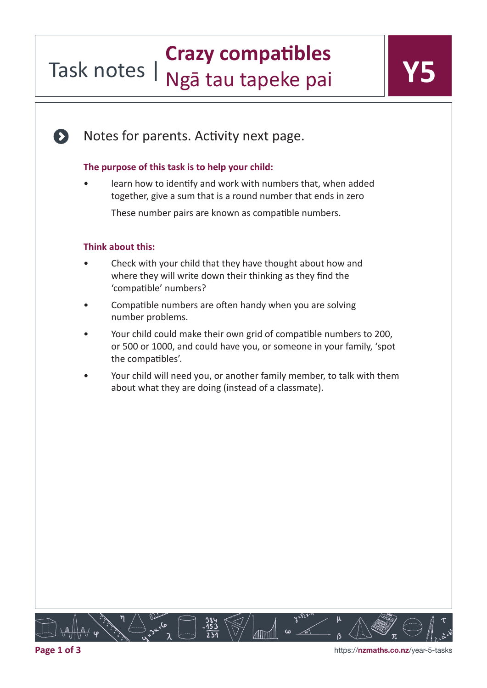### Task notes | **Crazy compatibles**  Ngā tau tapeke pai

Notes for parents. Activity next page.

#### **The purpose of this task is to help your child:**

• learn how to identify and work with numbers that, when added together, give a sum that is a round number that ends in zero

These number pairs are known as compatible numbers.

#### **Think about this:**

 $\bullet$ 

- Check with your child that they have thought about how and where they will write down their thinking as they find the 'compatible' numbers?
- Compatible numbers are often handy when you are solving number problems.
- Your child could make their own grid of compatible numbers to 200, or 500 or 1000, and could have you, or someone in your family, 'spot the compatibles'.
- Your child will need you, or another family member, to talk with them about what they are doing (instead of a classmate).

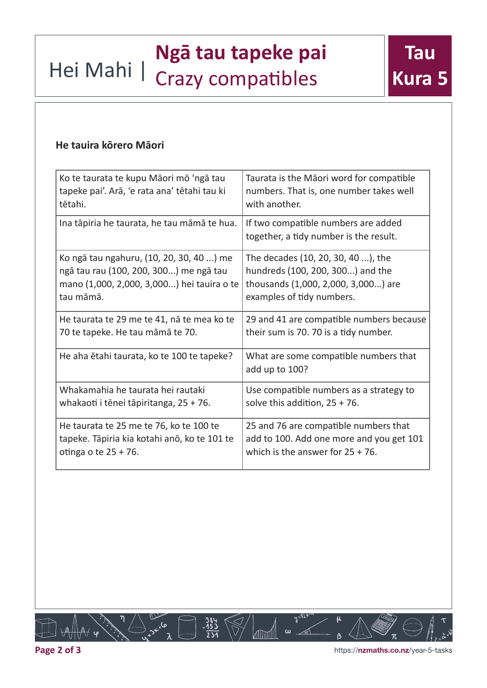## **Ngā tau tapeke pai<br>Hei Mahi | Crazy compatibles** Crazy compatibles

### **He tauira kōrero Māori**

| Ko te taurata te kupu Māori mō 'ngā tau      | Taurata is the Māori word for compatible                                      |
|----------------------------------------------|-------------------------------------------------------------------------------|
| tapeke pai'. Arā, 'e rata ana' tētahi tau ki | numbers. That is, one number takes well                                       |
| tētahi.                                      | with another.                                                                 |
| Ina tāpiria he taurata, he tau māmā te hua.  | If two compatible numbers are added<br>together, a tidy number is the result. |
| Ko ngā tau ngahuru, (10, 20, 30, 40 ) me     | The decades (10, 20, 30, 40 ), the                                            |
| ngā tau rau (100, 200, 300) me ngā tau       | hundreds (100, 200, 300) and the                                              |
| mano (1,000, 2,000, 3,000) hei tauira o te   | thousands (1,000, 2,000, 3,000) are                                           |
| tau māmā.                                    | examples of tidy numbers.                                                     |
| He taurata te 29 me te 41, nā te mea ko te   | 29 and 41 are compatible numbers because                                      |
| 70 te tapeke. He tau māmā te 70.             | their sum is 70. 70 is a tidy number.                                         |
| He aha etahi taurata, ko te 100 te tapeke?   | What are some compatible numbers that<br>add up to 100?                       |
| Whakamahia he taurata hei rautaki            | Use compatible numbers as a strategy to                                       |
| whakaoti i tēnei tāpiritanga, 25 + 76.       | solve this addition, $25 + 76$ .                                              |
| He taurata te 25 me te 76, ko te 100 te      | 25 and 76 are compatible numbers that                                         |
| tapeke. Tāpiria kia kotahi anō, ko te 101 te | add to 100. Add one more and you get 101                                      |
| otinga o te $25 + 76$ .                      | which is the answer for $25 + 76$ .                                           |